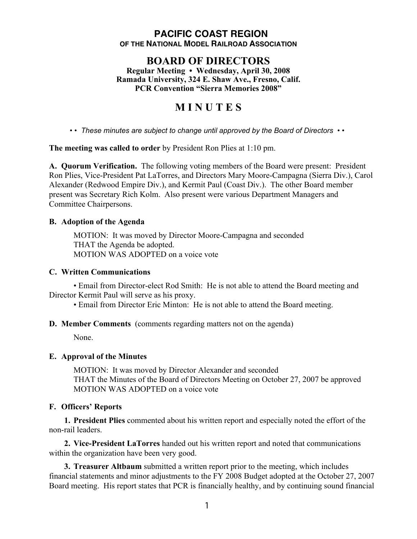## **PACIFIC COAST REGION OF THE NATIONAL MODEL RAILROAD ASSOCIATION**

# **BOARD OF DIRECTORS**

**Regular Meeting • Wednesday, April 30, 2008 Ramada University, 324 E. Shaw Ave., Fresno, Calif. PCR Convention "Sierra Memories 2008"**

# **M I N U T E S**

*• • These minutes are subject to change until approved by the Board of Directors • •*

**The meeting was called to order** by President Ron Plies at 1:10 pm.

**A. Quorum Verification.** The following voting members of the Board were present: President Ron Plies, Vice-President Pat LaTorres, and Directors Mary Moore-Campagna (Sierra Div.), Carol Alexander (Redwood Empire Div.), and Kermit Paul (Coast Div.). The other Board member present was Secretary Rich Kolm. Also present were various Department Managers and Committee Chairpersons.

## **B. Adoption of the Agenda**

MOTION: It was moved by Director Moore-Campagna and seconded THAT the Agenda be adopted. MOTION WAS ADOPTED on a voice vote

#### **C. Written Communications**

• Email from Director-elect Rod Smith: He is not able to attend the Board meeting and Director Kermit Paul will serve as his proxy.

• Email from Director Eric Minton: He is not able to attend the Board meeting.

**D. Member Comments** (comments regarding matters not on the agenda)

None.

## **E. Approval of the Minutes**

MOTION: It was moved by Director Alexander and seconded THAT the Minutes of the Board of Directors Meeting on October 27, 2007 be approved MOTION WAS ADOPTED on a voice vote

## **F. Officers' Reports**

**1. President Plies** commented about his written report and especially noted the effort of the non-rail leaders.

**2. Vice-President LaTorres** handed out his written report and noted that communications within the organization have been very good.

**3. Treasurer Altbaum** submitted a written report prior to the meeting, which includes financial statements and minor adjustments to the FY 2008 Budget adopted at the October 27, 2007 Board meeting. His report states that PCR is financially healthy, and by continuing sound financial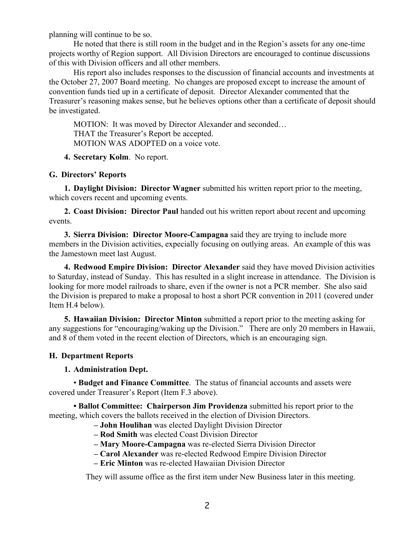planning will continue to be so.

He noted that there is still room in the budget and in the Region's assets for any one-time projects worthy of Region support. All Division Directors are encouraged to continue discussions of this with Division officers and all other members.

His report also includes responses to the discussion of financial accounts and investments at the October 27, 2007 Board meeting. No changes are proposed except to increase the amount of convention funds tied up in a certificate of deposit. Director Alexander commented that the Treasurer's reasoning makes sense, but he believes options other than a certificate of deposit should be investigated.

MOTION: It was moved by Director Alexander and seconded… THAT the Treasurer's Report be accepted. MOTION WAS ADOPTED on a voice vote.

**4. Secretary Kolm**. No report.

#### **G. Directors' Reports**

**1. Daylight Division: Director Wagner** submitted his written report prior to the meeting, which covers recent and upcoming events.

**2. Coast Division: Director Paul** handed out his written report about recent and upcoming events.

**3. Sierra Division: Director Moore-Campagna** said they are trying to include more members in the Division activities, expecially focusing on outlying areas. An example of this was the Jamestown meet last August.

**4. Redwood Empire Division: Director Alexander** said they have moved Division activities to Saturday, instead of Sunday. This has resulted in a slight increase in attendance. The Division is looking for more model railroads to share, even if the owner is not a PCR member. She also said the Division is prepared to make a proposal to host a short PCR convention in 2011 (covered under Item H.4 below).

**5. Hawaiian Division: Director Minton** submitted a report prior to the meeting asking for any suggestions for "encouraging/waking up the Division." There are only 20 members in Hawaii, and 8 of them voted in the recent election of Directors, which is an encouraging sign.

#### **H. Department Reports**

#### **1. Administration Dept.**

• **Budget and Finance Committee**. The status of financial accounts and assets were covered under Treasurer's Report (Item F.3 above).

**• Ballot Committee: Chairperson Jim Providenza** submitted his report prior to the meeting, which covers the ballots received in the election of Division Directors.

## **– John Houlihan** was elected Daylight Division Director

- **Rod Smith** was elected Coast Division Director
- **Mary Moore-Campagna** was re-elected Sierra Division Director
- **Carol Alexander** was re-elected Redwood Empire Division Director
- **Eric Minton** was re-elected Hawaiian Division Director

They will assume office as the first item under New Business later in this meeting.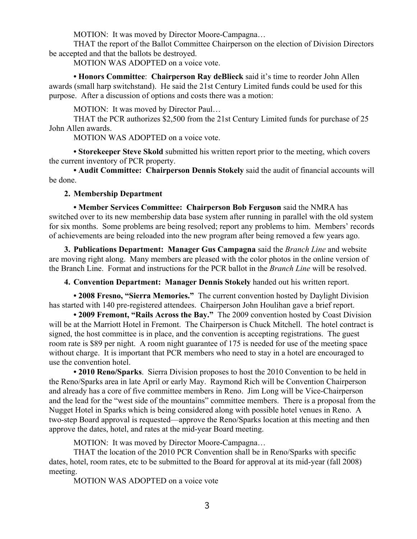MOTION: It was moved by Director Moore-Campagna…

THAT the report of the Ballot Committee Chairperson on the election of Division Directors be accepted and that the ballots be destroyed.

MOTION WAS ADOPTED on a voice vote.

**• Honors Committee**: **Chairperson Ray deBlieck** said it's time to reorder John Allen awards (small harp switchstand). He said the 21st Century Limited funds could be used for this purpose. After a discussion of options and costs there was a motion:

MOTION: It was moved by Director Paul…

THAT the PCR authorizes \$2,500 from the 21st Century Limited funds for purchase of 25 John Allen awards.

MOTION WAS ADOPTED on a voice vote.

**• Storekeeper Steve Skold** submitted his written report prior to the meeting, which covers the current inventory of PCR property.

**• Audit Committee: Chairperson Dennis Stokely** said the audit of financial accounts will be done.

#### **2. Membership Department**

**• Member Services Committee: Chairperson Bob Ferguson** said the NMRA has switched over to its new membership data base system after running in parallel with the old system for six months. Some problems are being resolved; report any problems to him. Members' records of achievements are being reloaded into the new program after being removed a few years ago.

**3. Publications Department: Manager Gus Campagna** said the *Branch Line* and website are moving right along. Many members are pleased with the color photos in the online version of the Branch Line. Format and instructions for the PCR ballot in the *Branch Line* will be resolved.

**4. Convention Department: Manager Dennis Stokely** handed out his written report.

**• 2008 Fresno, "Sierra Memories."** The current convention hosted by Daylight Division has started with 140 pre-registered attendees. Chairperson John Houlihan gave a brief report.

**• 2009 Fremont, "Rails Across the Bay."** The 2009 convention hosted by Coast Division will be at the Marriott Hotel in Fremont. The Chairperson is Chuck Mitchell. The hotel contract is signed, the host committee is in place, and the convention is accepting registrations. The guest room rate is \$89 per night. A room night guarantee of 175 is needed for use of the meeting space without charge. It is important that PCR members who need to stay in a hotel are encouraged to use the convention hotel.

**• 2010 Reno/Sparks**. Sierra Division proposes to host the 2010 Convention to be held in the Reno/Sparks area in late April or early May. Raymond Rich will be Convention Chairperson and already has a core of five committee members in Reno. Jim Long will be Vice-Chairperson and the lead for the "west side of the mountains" committee members. There is a proposal from the Nugget Hotel in Sparks which is being considered along with possible hotel venues in Reno. A two-step Board approval is requested—approve the Reno/Sparks location at this meeting and then approve the dates, hotel, and rates at the mid-year Board meeting.

MOTION: It was moved by Director Moore-Campagna…

THAT the location of the 2010 PCR Convention shall be in Reno/Sparks with specific dates, hotel, room rates, etc to be submitted to the Board for approval at its mid-year (fall 2008) meeting.

MOTION WAS ADOPTED on a voice vote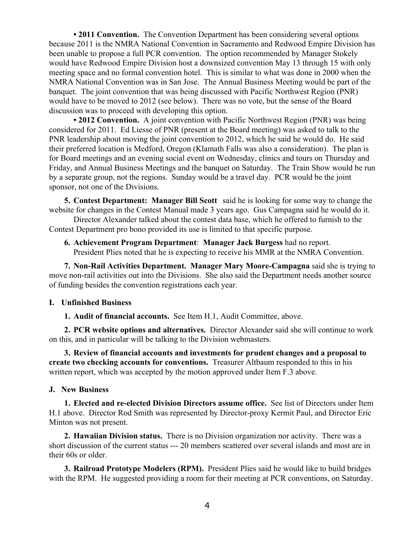**• 2011 Convention.** The Convention Department has been considering several options because 2011 is the NMRA National Convention in Sacramento and Redwood Empire Division has been unable to propose a full PCR convention. The option recommended by Manager Stokely would have Redwood Empire Division host a downsized convention May 13 through 15 with only meeting space and no formal convention hotel. This is similar to what was done in 2000 when the NMRA National Convention was in San Jose. The Annual Business Meeting would be part of the banquet. The joint convention that was being discussed with Pacific Northwest Region (PNR) would have to be moved to 2012 (see below). There was no vote, but the sense of the Board discussion was to proceed with developing this option.

**• 2012 Convention.** A joint convention with Pacific Northwest Region (PNR) was being considered for 2011. Ed Liesse of PNR (present at the Board meeting) was asked to talk to the PNR leadership about moving the joint convention to 2012, which he said he would do. He said their preferred location is Medford, Oregon (Klamath Falls was also a consideration). The plan is for Board meetings and an evening social event on Wednesday, clinics and tours on Thursday and Friday, and Annual Business Meetings and the banquet on Saturday. The Train Show would be run by a separate group, not the regions. Sunday would be a travel day. PCR would be the joint sponsor, not one of the Divisions.

**5. Contest Department: Manager Bill Scott** said he is looking for some way to change the website for changes in the Contest Manual made 3 years ago. Gus Campagna said he would do it.

Director Alexander talked about the contest data base, which he offered to furnish to the Contest Department pro bono provided its use is limited to that specific purpose.

**6. Achievement Program Department**: **Manager Jack Burgess** had no report. President Plies noted that he is expecting to receive his MMR at the NMRA Convention.

**7. Non-Rail Activities Department. Manager Mary Moore-Campagna** said she is trying to move non-rail activities out into the Divisions. She also said the Department needs another source of funding besides the convention registrations each year.

#### **I. Unfinished Business**

**1. Audit of financial accounts.** See Item H.1, Audit Committee, above.

**2. PCR website options and alternatives.** Director Alexander said she will continue to work on this, and in particular will be talking to the Division webmasters.

**3. Review of financial accounts and investments for prudent changes and a proposal to create two checking accounts for conventions.** Treasurer Altbaum responded to this in his written report, which was accepted by the motion approved under Item F.3 above.

#### **J. New Business**

**1. Elected and re-elected Division Directors assume office.** See list of Directors under Item H.1 above. Director Rod Smith was represented by Director-proxy Kermit Paul, and Director Eric Minton was not present.

**2. Hawaiian Division status.** There is no Division organization nor activity. There was a short discussion of the current status --- 20 members scattered over several islands and most are in their 60s or older.

**3. Railroad Prototype Modelers (RPM).** President Plies said he would like to build bridges with the RPM. He suggested providing a room for their meeting at PCR conventions, on Saturday.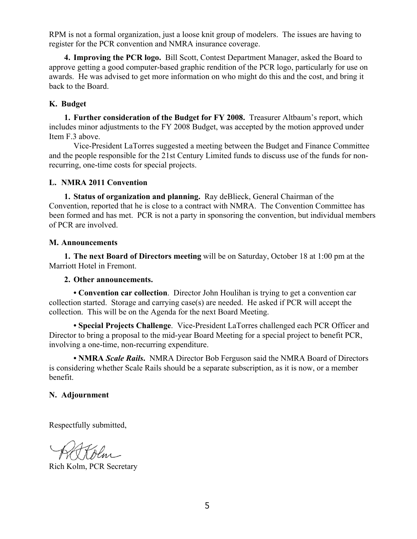RPM is not a formal organization, just a loose knit group of modelers. The issues are having to register for the PCR convention and NMRA insurance coverage.

**4. Improving the PCR logo.** Bill Scott, Contest Department Manager, asked the Board to approve getting a good computer-based graphic rendition of the PCR logo, particularly for use on awards. He was advised to get more information on who might do this and the cost, and bring it back to the Board.

### **K. Budget**

**1. Further consideration of the Budget for FY 2008.** Treasurer Altbaum's report, which includes minor adjustments to the FY 2008 Budget, was accepted by the motion approved under Item F.3 above.

Vice-President LaTorres suggested a meeting between the Budget and Finance Committee and the people responsible for the 21st Century Limited funds to discuss use of the funds for nonrecurring, one-time costs for special projects.

#### **L. NMRA 2011 Convention**

**1. Status of organization and planning.** Ray deBlieck, General Chairman of the Convention, reported that he is close to a contract with NMRA. The Convention Committee has been formed and has met. PCR is not a party in sponsoring the convention, but individual members of PCR are involved.

#### **M. Announcements**

**1. The next Board of Directors meeting** will be on Saturday, October 18 at 1:00 pm at the Marriott Hotel in Fremont.

#### **2. Other announcements.**

**• Convention car collection**. Director John Houlihan is trying to get a convention car collection started. Storage and carrying case(s) are needed. He asked if PCR will accept the collection. This will be on the Agenda for the next Board Meeting.

**• Special Projects Challenge**. Vice-President LaTorres challenged each PCR Officer and Director to bring a proposal to the mid-year Board Meeting for a special project to benefit PCR, involving a one-time, non-recurring expenditure.

**• NMRA** *Scale Rails***.** NMRA Director Bob Ferguson said the NMRA Board of Directors is considering whether Scale Rails should be a separate subscription, as it is now, or a member benefit.

#### **N. Adjournment**

Respectfully submitted,

Rich Kolm, PCR Secretary